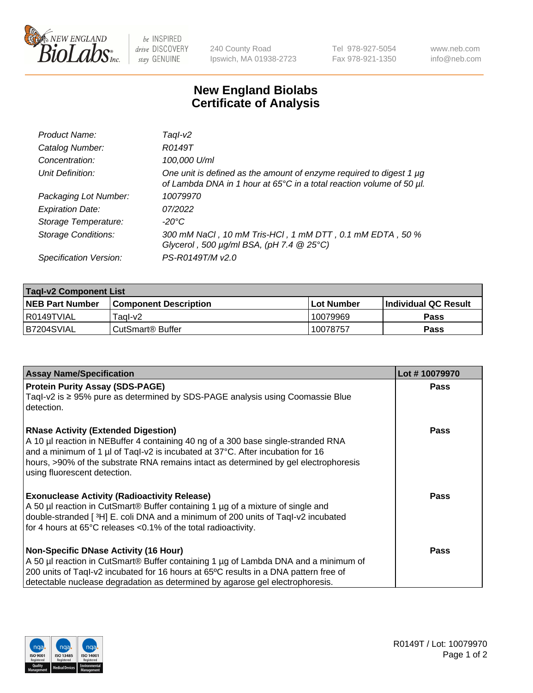

 $be$  INSPIRED drive DISCOVERY stay GENUINE

240 County Road Ipswich, MA 01938-2723 Tel 978-927-5054 Fax 978-921-1350 www.neb.com info@neb.com

## **New England Biolabs Certificate of Analysis**

| Product Name:              | Tagl-v2                                                                                                                                                    |
|----------------------------|------------------------------------------------------------------------------------------------------------------------------------------------------------|
| Catalog Number:            | R0149T                                                                                                                                                     |
| Concentration:             | 100,000 U/ml                                                                                                                                               |
| Unit Definition:           | One unit is defined as the amount of enzyme required to digest 1 µg<br>of Lambda DNA in 1 hour at 65 $\degree$ C in a total reaction volume of 50 $\mu$ l. |
| Packaging Lot Number:      | 10079970                                                                                                                                                   |
| <b>Expiration Date:</b>    | 07/2022                                                                                                                                                    |
| Storage Temperature:       | $-20^{\circ}$ C                                                                                                                                            |
| <b>Storage Conditions:</b> | 300 mM NaCl, 10 mM Tris-HCl, 1 mM DTT, 0.1 mM EDTA, 50 %<br>Glycerol, 500 $\mu$ g/ml BSA, (pH 7.4 $@25°C$ )                                                |
| Specification Version:     | PS-R0149T/M v2.0                                                                                                                                           |

| <b>Tagl-v2 Component List</b> |                         |              |                             |  |  |
|-------------------------------|-------------------------|--------------|-----------------------------|--|--|
| <b>NEB Part Number</b>        | l Component Description | l Lot Number | <b>Individual QC Result</b> |  |  |
| I R0149TVIAL                  | Tagl-v2                 | 10079969     | Pass                        |  |  |
| IB7204SVIAL                   | l CutSmart® Buffer_     | 10078757     | Pass                        |  |  |

| <b>Assay Name/Specification</b>                                                                                                                                       | Lot #10079970 |
|-----------------------------------------------------------------------------------------------------------------------------------------------------------------------|---------------|
| <b>Protein Purity Assay (SDS-PAGE)</b><br>Taql-v2 is $\geq$ 95% pure as determined by SDS-PAGE analysis using Coomassie Blue                                          | Pass          |
| detection.                                                                                                                                                            |               |
| <b>RNase Activity (Extended Digestion)</b>                                                                                                                            | Pass          |
| A 10 µl reaction in NEBuffer 4 containing 40 ng of a 300 base single-stranded RNA<br>and a minimum of 1 µl of Taql-v2 is incubated at 37°C. After incubation for 16   |               |
| hours, >90% of the substrate RNA remains intact as determined by gel electrophoresis                                                                                  |               |
| using fluorescent detection.                                                                                                                                          |               |
| <b>Exonuclease Activity (Radioactivity Release)</b>                                                                                                                   | Pass          |
| A 50 µl reaction in CutSmart® Buffer containing 1 µg of a mixture of single and<br>double-stranded [3H] E. coli DNA and a minimum of 200 units of Taql-v2 incubated   |               |
| for 4 hours at 65°C releases <0.1% of the total radioactivity.                                                                                                        |               |
| <b>Non-Specific DNase Activity (16 Hour)</b>                                                                                                                          | Pass          |
| A 50 µl reaction in CutSmart® Buffer containing 1 µg of Lambda DNA and a minimum of                                                                                   |               |
| 200 units of Taql-v2 incubated for 16 hours at 65°C results in a DNA pattern free of<br>detectable nuclease degradation as determined by agarose gel electrophoresis. |               |